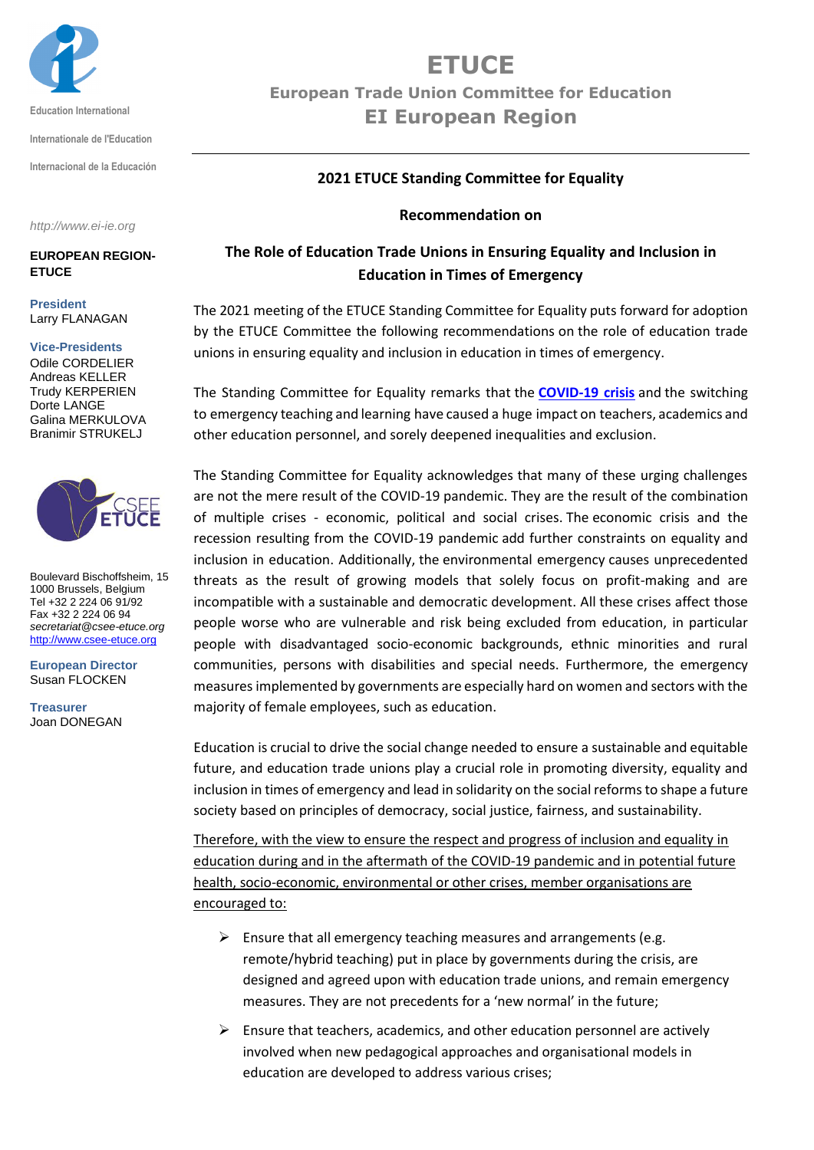

**Internationale de l'Education**

**Internacional de la Educación**

*http://www.ei-ie.org*

**EUROPEAN REGION-ETUCE**

**President** Larry FLANAGAN

#### **Vice-Presidents**

Odile CORDELIER Andreas KELLER Trudy KERPERIEN Dorte LANGE Galina MERKULOVA Branimir STRUKELJ



Boulevard Bischoffsheim, 15 1000 Brussels, Belgium Tel +32 2 224 06 91/92 Fax +32 2 224 06 94 *secretariat@csee-etuce.org* [http://www.csee-etuce.org](http://www.csee-etuce.org/)

**European Director** Susan FLOCKEN

**Treasurer** Joan DONEGAN

# **ETUCE**

**European Trade Union Committee for Education EI European Region** 

### **2021 ETUCE Standing Committee for Equality**

#### **Recommendation on**

## **The Role of Education Trade Unions in Ensuring Equality and Inclusion in Education in Times of Emergency**

The 2021 meeting of the ETUCE Standing Committee for Equality puts forward for adoption by the ETUCE Committee the following recommendations on the role of education trade unions in ensuring equality and inclusion in education in times of emergency.

The Standing Committee for Equality remarks that the **[COVID-19 crisis](https://www.csee-etuce.org/en/policy-issues/covid-19/3694-covid-19-is-an-immediate-crisis-for-education-in-europe-but-the-long-term-questions-are-even-more-troubling)** and the switching to emergency teaching and learning have caused a huge impact on teachers, academics and other education personnel, and sorely deepened inequalities and exclusion.

The Standing Committee for Equality acknowledges that many of these urging challenges are not the mere result of the COVID-19 pandemic. They are the result of the combination of multiple crises - economic, political and social crises. The economic crisis and the recession resulting from the COVID-19 pandemic add further constraints on equality and inclusion in education. Additionally, the environmental emergency causes unprecedented threats as the result of growing models that solely focus on profit-making and are incompatible with a sustainable and democratic development. All these crises affect those people worse who are vulnerable and risk being excluded from education, in particular people with disadvantaged socio-economic backgrounds, ethnic minorities and rural communities, persons with disabilities and special needs. Furthermore, the emergency measures implemented by governments are especially hard on women and sectors with the majority of female employees, such as education.

Education is crucial to drive the social change needed to ensure a sustainable and equitable future, and education trade unions play a crucial role in promoting diversity, equality and inclusion in times of emergency and lead in solidarity on the social reforms to shape a future society based on principles of democracy, social justice, fairness, and sustainability.

Therefore, with the view to ensure the respect and progress of inclusion and equality in education during and in the aftermath of the COVID-19 pandemic and in potential future health, socio-economic, environmental or other crises, member organisations are encouraged to:

- $\triangleright$  Ensure that all emergency teaching measures and arrangements (e.g. remote/hybrid teaching) put in place by governments during the crisis, are designed and agreed upon with education trade unions, and remain emergency measures. They are not precedents for a 'new normal' in the future;
- $\triangleright$  Ensure that teachers, academics, and other education personnel are actively involved when new pedagogical approaches and organisational models in education are developed to address various crises;